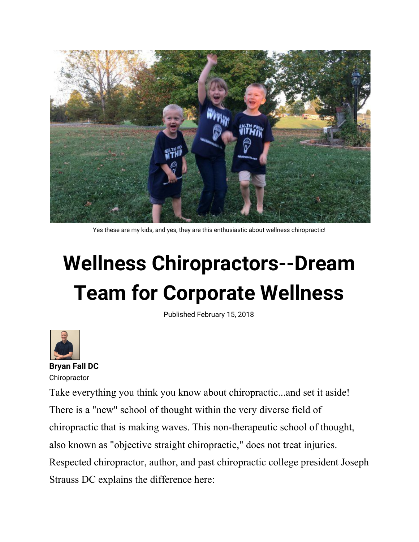

Yes these are my kids, and yes, they are this enthusiastic about wellness chiropractic!

## **Wellness Chiropractors--Dream Team for Corporate Wellness**

Published February 15, 2018



**Bryan Fall DC Chiropractor** 

Take everything you think you know about chiropractic...and set it aside! There is a "new" school of thought within the very diverse field of chiropractic that is making waves. This non-therapeutic school of thought, also known as "objective straight chiropractic," does not treat injuries. Respected chiropractor, author, and past chiropractic college president Joseph Strauss DC explains the difference here: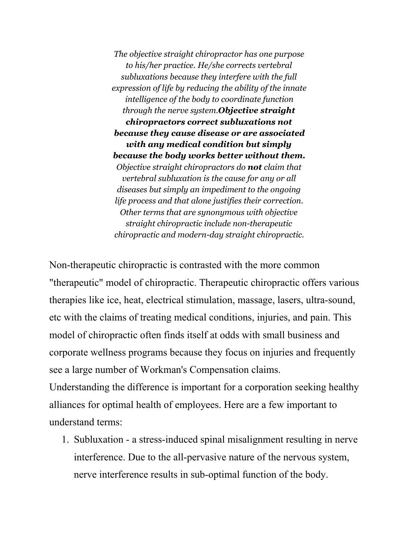*The objective straight chiropractor has one purpose to his/her practice. He/she corrects vertebral subluxations because they interfere with the full expression of life by reducing the ability of the innate intelligence of the body to coordinate function through the nerve system.Objective straight chiropractors correct subluxations not because they cause disease or are associated with any medical condition but simply because the body works better without them. Objective straight chiropractors do not claim that vertebral subluxation is the cause for any or all diseases but simply an impediment to the ongoing life process and that alone justifies their correction. Other terms that are synonymous with objective straight chiropractic include non-therapeutic chiropractic and modern-day straight chiropractic.*

Non-therapeutic chiropractic is contrasted with the more common "therapeutic" model of chiropractic. Therapeutic chiropractic offers various therapies like ice, heat, electrical stimulation, massage, lasers, ultra-sound, etc with the claims of treating medical conditions, injuries, and pain. This model of chiropractic often finds itself at odds with small business and corporate wellness programs because they focus on injuries and frequently see a large number of Workman's Compensation claims.

Understanding the difference is important for a corporation seeking healthy alliances for optimal health of employees. Here are a few important to understand terms:

1. Subluxation - a stress-induced spinal misalignment resulting in nerve interference. Due to the all-pervasive nature of the nervous system, nerve interference results in sub-optimal function of the body.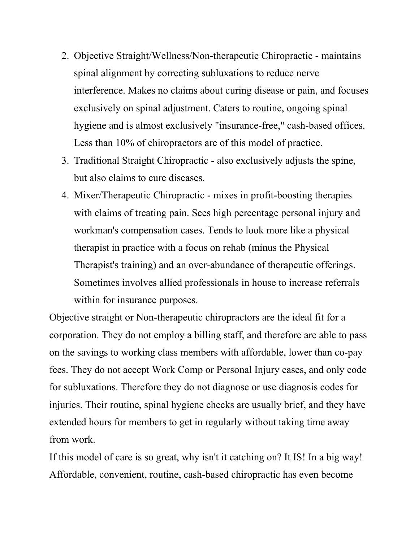- 2. Objective Straight/Wellness/Non-therapeutic Chiropractic maintains spinal alignment by correcting subluxations to reduce nerve interference. Makes no claims about curing disease or pain, and focuses exclusively on spinal adjustment. Caters to routine, ongoing spinal hygiene and is almost exclusively "insurance-free," cash-based offices. Less than 10% of chiropractors are of this model of practice.
- 3. Traditional Straight Chiropractic also exclusively adjusts the spine, but also claims to cure diseases.
- 4. Mixer/Therapeutic Chiropractic mixes in profit-boosting therapies with claims of treating pain. Sees high percentage personal injury and workman's compensation cases. Tends to look more like a physical therapist in practice with a focus on rehab (minus the Physical Therapist's training) and an over-abundance of therapeutic offerings. Sometimes involves allied professionals in house to increase referrals within for insurance purposes.

Objective straight or Non-therapeutic chiropractors are the ideal fit for a corporation. They do not employ a billing staff, and therefore are able to pass on the savings to working class members with affordable, lower than co-pay fees. They do not accept Work Comp or Personal Injury cases, and only code for subluxations. Therefore they do not diagnose or use diagnosis codes for injuries. Their routine, spinal hygiene checks are usually brief, and they have extended hours for members to get in regularly without taking time away from work.

If this model of care is so great, why isn't it catching on? It IS! In a big way! Affordable, convenient, routine, cash-based chiropractic has even become